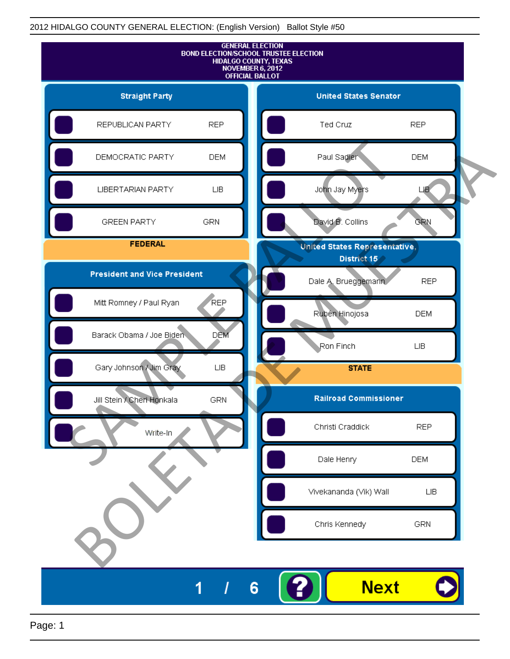

Page: 1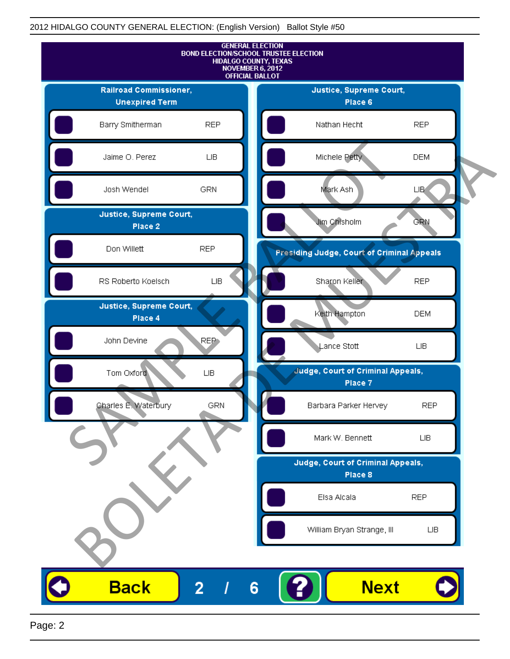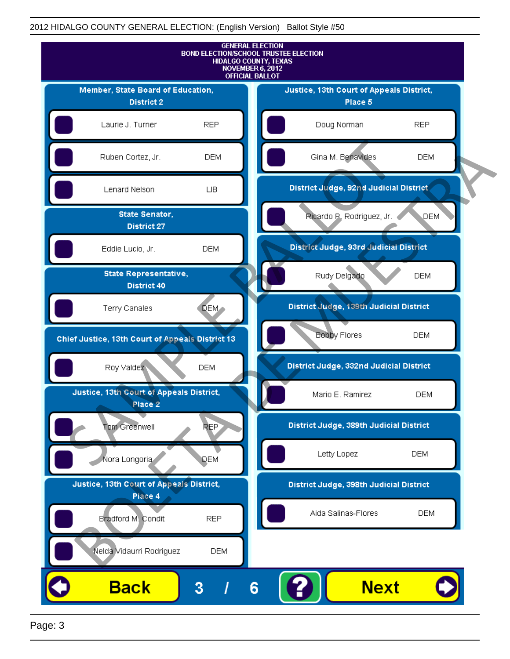

Page: 3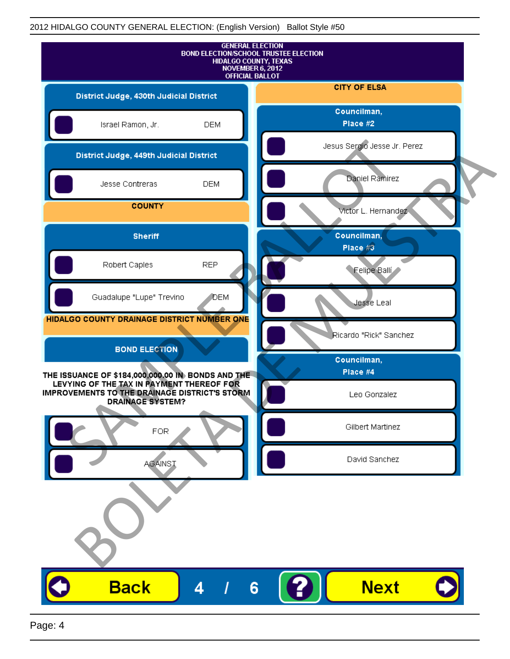|                                                                                                                       |            | <b>GENERAL ELECTION</b><br><b>BOND ELECTION/SCHOOL TRUSTEE ELECTION</b><br><b>HIDALGO COUNTY, TEXAS</b><br>NOVEMBER 6, 2012<br><b>OFFICIAL BALLOT</b> |
|-----------------------------------------------------------------------------------------------------------------------|------------|-------------------------------------------------------------------------------------------------------------------------------------------------------|
| District Judge, 430th Judicial District                                                                               |            | <b>CITY OF ELSA</b>                                                                                                                                   |
| Israel Ramon, Jr.                                                                                                     | <b>DEM</b> | Councilman,<br>Place #2                                                                                                                               |
| District Judge, 449th Judicial District                                                                               |            | Jesus Sergio Jesse Jr. Perez                                                                                                                          |
| Jesse Contreras                                                                                                       | <b>DEM</b> | Daniel Ramirez                                                                                                                                        |
| <b>COUNTY</b>                                                                                                         |            | victor L. Hernandez                                                                                                                                   |
| <b>Sheriff</b>                                                                                                        |            | Councilman,<br>Place #3                                                                                                                               |
| Robert Caples                                                                                                         | <b>REP</b> | Felipe Balli                                                                                                                                          |
| Guadalupe "Lupe" Trevino                                                                                              | <b>DEM</b> | Jesse Leal                                                                                                                                            |
| HIDALGO COUNTY DRAINAGE DISTRICT NUMBER ONE                                                                           |            | Ricardo "Rick" Sanchez                                                                                                                                |
| <b>BOND ELECTION</b>                                                                                                  |            | Councilman,                                                                                                                                           |
| THE ISSUANCE OF \$184,000,000.00 IN BONDS AND THE                                                                     |            | Place #4                                                                                                                                              |
| LEVYING OF THE TAX IN PAYMENT THEREOF FOR<br>IMPROVEMENTS TO THE DRAINAGE DISTRICT'S STORM<br><b>DRAINAGE SYSTEM?</b> |            | Leo Gonzalez                                                                                                                                          |
| <b>FOR</b>                                                                                                            |            | Gilbert Martinez                                                                                                                                      |
| <b>AGAINST</b>                                                                                                        |            | David Sanchez                                                                                                                                         |
|                                                                                                                       |            |                                                                                                                                                       |
| <b>Back</b>                                                                                                           | 4          | <b>Next</b><br>6                                                                                                                                      |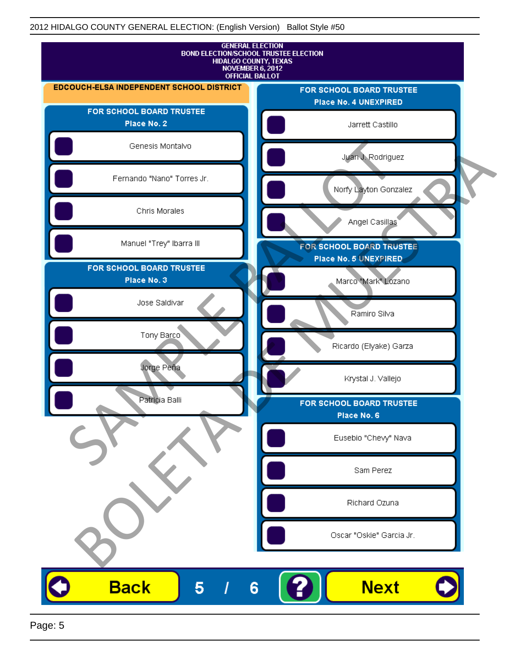

Page: 5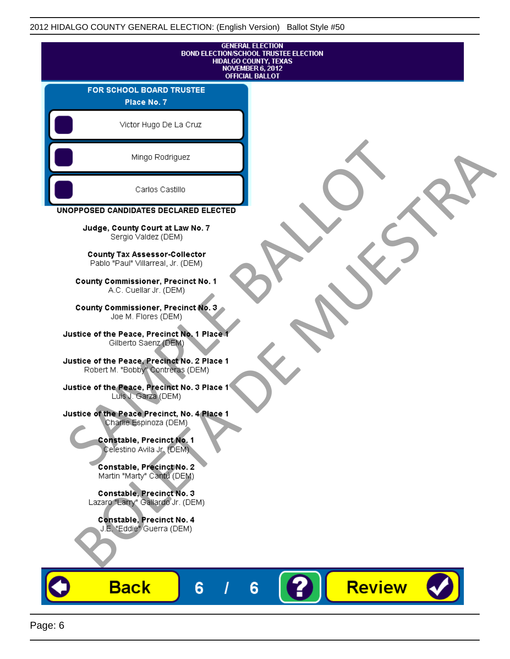| <b>GENERAL ELECTION</b><br><b>BOND ELECTION/SCHOOL TRUSTEE ELECTION</b><br>HIDALGO COUNTY, TEXAS<br><b>NOVEMBER 6, 2012</b><br><b>OFFICIAL BALLOT</b> |  |  |  |
|-------------------------------------------------------------------------------------------------------------------------------------------------------|--|--|--|
| FOR SCHOOL BOARD TRUSTEE<br>Place No. 7                                                                                                               |  |  |  |
| Victor Hugo De La Cruz                                                                                                                                |  |  |  |
| Mingo Rodriguez                                                                                                                                       |  |  |  |
| Carlos Castillo                                                                                                                                       |  |  |  |
| UNOPPOSED CANDIDATES DECLARED ELECTED                                                                                                                 |  |  |  |
| Judge, County Court at Law No. 7<br>Sergio Valdez (DEM)                                                                                               |  |  |  |
| <b>County Tax Assessor-Collector</b><br>Pablo "Paul" Villarreal, Jr. (DEM)                                                                            |  |  |  |
| <b>County Commissioner, Precinct No. 1</b><br>A.C. Cuellar Jr. (DEM)                                                                                  |  |  |  |
| County Commissioner, Precinct No. 3<br>Joe M. Flores (DEM)                                                                                            |  |  |  |
| Justice of the Peace, Precinct No. 1 Place 1<br>Gilberto Saenz (DEM)                                                                                  |  |  |  |
| Justice of the Peace, Precinct No. 2 Place 1<br>Robert M. "Bobby" Contreras (DEM)                                                                     |  |  |  |
| Justice of the Peace, Precinct No. 3 Place 1<br>Luis J. Garza (DEM)                                                                                   |  |  |  |
| Justice of the Peace Precinct, No. 4 Place 1<br>Charlie Espinoza (DEM)                                                                                |  |  |  |
| Constable, Precinct No. 1<br>Celestino Avila Jr. (DEM)                                                                                                |  |  |  |
| Constable, Precinct No. 2<br>Martin "Marty" Cantú (DEM)                                                                                               |  |  |  |
| Constable, Precinct No. 3<br>Lazaro "Larry" Gallardo Jr. (DEM)                                                                                        |  |  |  |
| Constable, Precinct No. 4<br>J.E. "Eddie" Guerra (DEM)                                                                                                |  |  |  |
| <b>Review</b><br><u>Back</u><br>6<br>6                                                                                                                |  |  |  |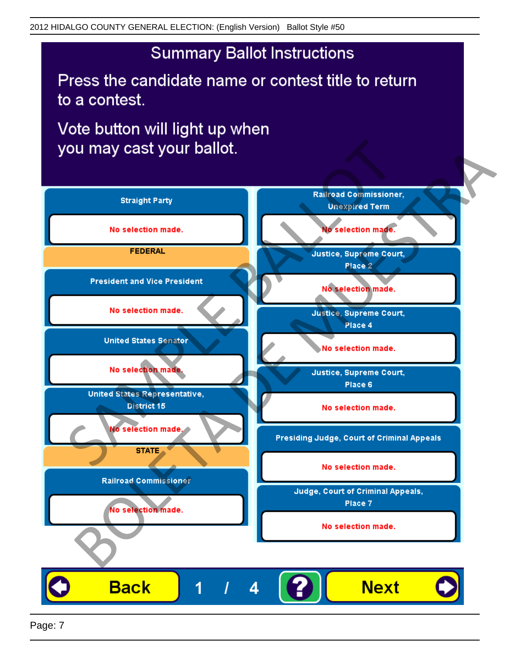Press the candidate name or contest title to return to a contest.

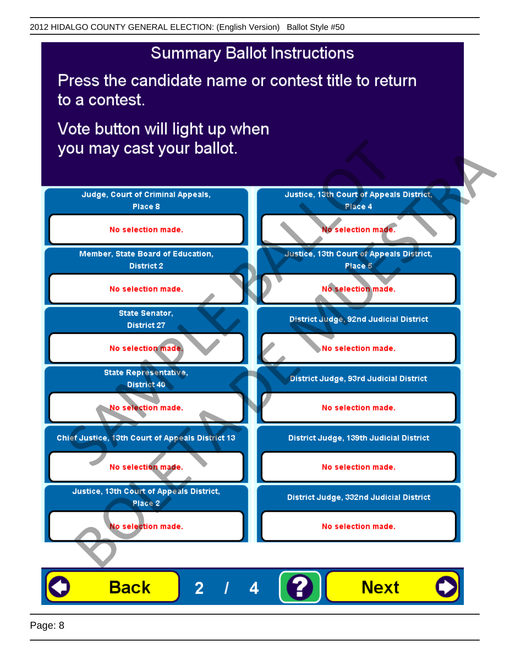Press the candidate name or contest title to return to a contest.

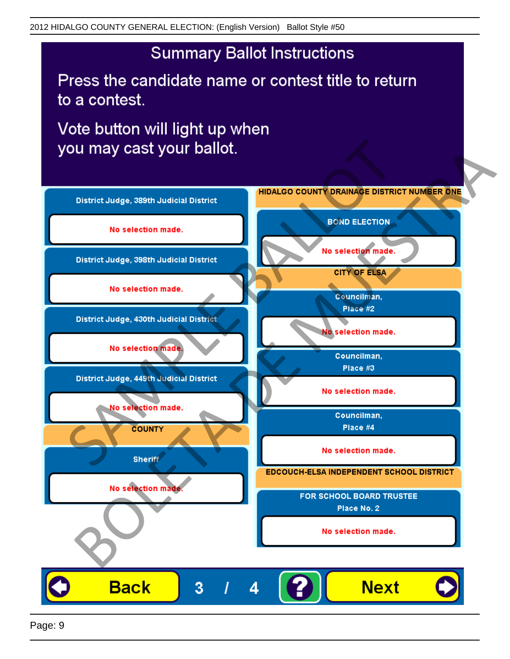Press the candidate name or contest title to return to a contest.